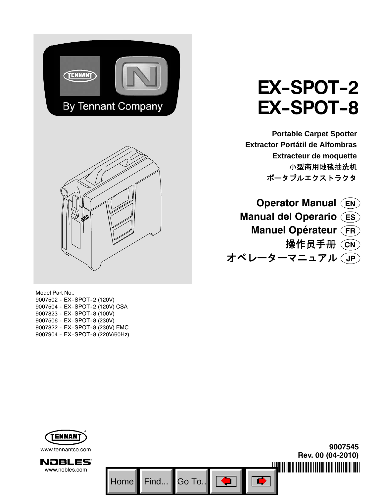



Model Part No.: 9007502 - EX-SPOT-2 (120V) 9007504 - EX-SPOT-2 (120V) CSA 9007823 - EX-SPOT-8 (100V) 9007506 - EX-SPOT-8 (230V) 9007822 - EX-SPOT-8 (230V) EMC 9007904 - EX-SPOT-8 (220V/60Hz)

# **EX-SPOT-2 EX-SPOT-8**

**Portable Carpet Spotter Extractor Portátil de Alfombras Extracteur de moquette** 小型商用地毯抽洗机 ポータブルエクストラクタ

**Operator Manual EN Manual del Operario ES Manuel Opérateur FR** 操作员手册 (CN) オペレーターマニュアル **JP**

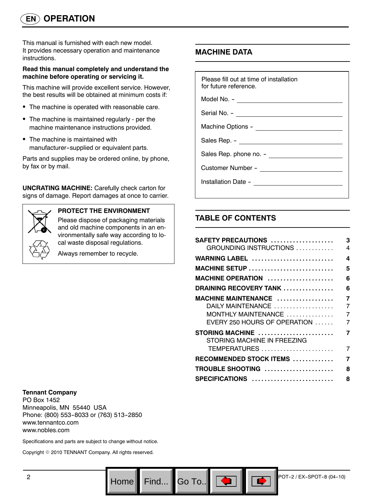This manual is furnished with each new model. It provides necessary operation and maintenance instructions.

#### **Read this manual completely and understand the machine before operating or servicing it.**

This machine will provide excellent service. However, the best results will be obtained at minimum costs if:

- The machine is operated with reasonable care.
- The machine is maintained regularly per the machine maintenance instructions provided.
- The machine is maintained with manufacturer--supplied or equivalent parts.

Parts and supplies may be ordered online, by phone, by fax or by mail.

**UNCRATING MACHINE:** Carefully check carton for signs of damage. Report damages at once to carrier.



#### **PROTECT THE ENVIRONMENT**

Please dispose of packaging materials and old machine components in an environmentally safe way according to local waste disposal regulations.

Always remember to recycle.

## **MACHINE DATA**

| Please fill out at time of installation<br>for future reference. |
|------------------------------------------------------------------|
| Model No. - ________________________                             |
|                                                                  |
|                                                                  |
|                                                                  |
|                                                                  |
|                                                                  |
|                                                                  |
|                                                                  |

## **TABLE OF CONTENTS**

Go To.. $\|$ 

| SAFETY PRECAUTIONS                             | 3              |
|------------------------------------------------|----------------|
| GROUNDING INSTRUCTIONS                         | $\overline{4}$ |
| WARNING LABEL                                  | 4              |
| MACHINE SETUP                                  | 5              |
| MACHINE OPERATION                              | 6              |
| DRAINING RECOVERY TANK                         | 6              |
| MACHINE MAINTENANCE                            | $\overline{7}$ |
| DAILY MAINTENANCE                              | 7              |
| MONTHLY MAINTENANCE                            | 7              |
| EVERY 250 HOURS OF OPERATION                   | 7              |
| STORING MACHINE<br>STORING MACHINE IN FREEZING | 7              |
| TEMPERATURES                                   | 7              |
| RECOMMENDED STOCK ITEMS                        | 7              |
| TROUBLE SHOOTING                               | 8              |
| SPECIFICATIONS                                 | 8              |

#### **Tennant Company**

PO Box 1452 Minneapolis, MN 55440 USA Phone: (800) 553-8033 or (763) 513-2850 www.tennantco.com www.nobles.com

Specifications and parts are subject to change without notice.

Copyright © 2010 TENNANT Company. All rights reserved.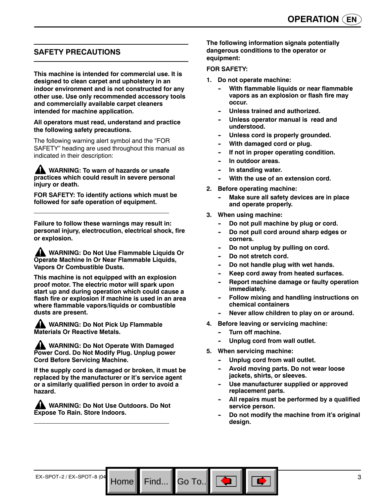## **SAFETY PRECAUTIONS**

**This machine is intended for commercial use. It is designed to clean carpet and upholstery in an indoor environment and is not constructed for any other use. Use only recommended accessory tools and commercially available carpet cleaners intended for machine application.**

#### **All operators must read, understand and practice the following safety precautions.**

The following warning alert symbol and the "FOR SAFETY" heading are used throughout this manual as indicated in their description:

**WARNING: To warn of hazards or unsafe practices which could result in severe personal injury or death.**

**FOR SAFETY: To identify actions which must be followed for safe operation of equipment.**

**Failure to follow these warnings may result in: personal injury, electrocution, electrical shock, fire or explosion.**

**WARNING: Do Not Use Flammable Liquids Or Operate Machine In Or Near Flammable Liquids, Vapors Or Combustible Dusts.**

**This machine is not equipped with an explosion proof motor. The electric motor will spark upon start up and during operation which could cause a flash fire or explosion if machine is used in an area where flammable vapors/liquids or combustible dusts are present.**

**A WARNING: Do Not Pick Up Flammable Materials Or Reactive Metals.**

**WARNING: Do Not Operate With Damaged Power Cord. Do Not Modify Plug. Unplug power Cord Before Servicing Machine.**

**If the supply cord is damaged or broken, it must be replaced by the manufacturer or it's service agent or a similarly qualified person in order to avoid a hazard.**

**WARNING: Do Not Use Outdoors. Do Not Expose To Rain. Store Indoors.**

**The following information signals potentially dangerous conditions to the operator or equipment:**

#### **FOR SAFETY:**

- **1. Do not operate machine:**
	- **With flammable liquids or near flammable vapors as an explosion or flash fire may occur.**
	- Unless trained and authorized.
	- Unless operator manual is read and **understood.**
	- Unless cord is properly grounded.
	- **With damaged cord or plug.**
	- If not in proper operating condition.
	- **In outdoor areas.**
	- **In standing water.**
	- **With the use of an extension cord.**
- **2. Before operating machine:**
	- **Make sure all safety devices are in place and operate properly.**
- **3. When using machine:**
	- Do not pull machine by plug or cord.
	- Do not pull cord around sharp edges or **corners.**
	- Do not unplug by pulling on cord.
	- Do not stretch cord.
	- Do not handle plug with wet hands.
	- Keep cord away from heated surfaces.
	- **Report machine damage or faulty operation immediately.**
	- **Follow mixing and handling instructions on chemical containers**
	- Never allow children to play on or around.
- **4. Before leaving or servicing machine:**
	- **-- Turn off machine.**
	- Unplug cord from wall outlet.
- **5. When servicing machine:**

Go To.. $\blacksquare$ 

- Unplug cord from wall outlet.
- Avoid moving parts. Do not wear loose **jackets, shirts, or sleeves.**
- Use manufacturer supplied or approved **replacement parts.**
- All repairs must be performed by a qualified **service person.**
- Do not modify the machine from it's original **design.**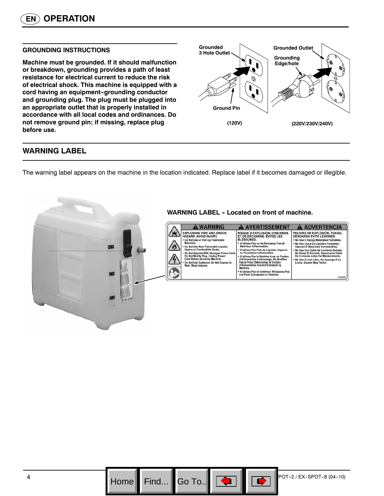#### **GROUNDING INSTRUCTIONS**

**Machine must be grounded. If it should malfunction or breakdown, grounding provides a path of least resistance for electrical current to reduce the risk of electrical shock. This machine is equipped with a** cord having an equipment-grounding conductor **and grounding plug. The plug must be plugged into an appropriate outlet that is properly installed in accordance with all local codes and ordinances. Do not remove ground pin; if missing, replace plug before use.**



## **WARNING LABEL**

The warning label appears on the machine in the location indicated. Replace label if it becomes damaged or illegible.



#### **WARNING LABEL - Located on front of machine.**

| <b>WARNING</b>                                                                                                                                                                                                                                                                                                                                                           | <b>AVERTISSEMENT</b>                                                                                                                                                                                                                                                                                                                                                                                                                                                                                         | <b>ADVERTENCIA</b>                                                                                                                                                                                                                                                                                                                                                                                          |
|--------------------------------------------------------------------------------------------------------------------------------------------------------------------------------------------------------------------------------------------------------------------------------------------------------------------------------------------------------------------------|--------------------------------------------------------------------------------------------------------------------------------------------------------------------------------------------------------------------------------------------------------------------------------------------------------------------------------------------------------------------------------------------------------------------------------------------------------------------------------------------------------------|-------------------------------------------------------------------------------------------------------------------------------------------------------------------------------------------------------------------------------------------------------------------------------------------------------------------------------------------------------------------------------------------------------------|
| <b>EXPLOSION, FIRE AND SHOCK</b><br>HAZARD, AVOID INJURY.<br>. Do Not Use or Pick Up Flammable<br>Materials.<br>. Do Not Use Near Flammable Liquids.<br>Vapors or Combustible Dusts.<br>. Do Not Operate With Damaged Power Cord.<br>Do Not Modify Plug, Unplug Power<br>Cord Before Servicing Machine.<br>Do Not Use Outdoors. Do Not Expose to<br>Rain, Store Indoors. | RISQUE D'EXPLOSION, D'INCENDIE<br>ET DE DÉCHARGE. ÉVITEZ LES<br><b>BLESSURES</b><br>. N'utilisez Pas ou Ne Ramassez Pas de<br>Matériaux Inflammables.<br>. N'utilisez Pas Près de Liquides, Vapeurs<br>ou Poussières Inflammables.<br>. N'utilisez Pas la Machine Avec un Cordon<br>d'Alimentation Endommagé, Ne Modifiez<br>Pas la Prise, Débranchez le Cordon<br>d'Alimentation Avant d'Entretenir la<br>Machine.<br>. N'utilisez Pas en Extérieur. N'Exposez Pas<br>à la Pluie. Entreposez à l'Intérieur. | PELIGRO DE EXPLOSIÓN, FUEGO,<br><b>DESCARGA EVITE LESIONES.</b><br>. No Use O Recola Materiales Flamables.<br>. No Use Cerca De Liquidos Flamables,<br>Vapores O Materiales Combustibles.<br>. No Use Con Cable De Corriente Dañado.<br>No Altere El Enchufe, Desconecte Cable<br>De Corriente Antes Del Mantenimiento.<br>. No Use Al Aire Libre. No Exponga A La<br>Lluvia. Guarde Bajo Techo.<br>1026383 |

Go To..

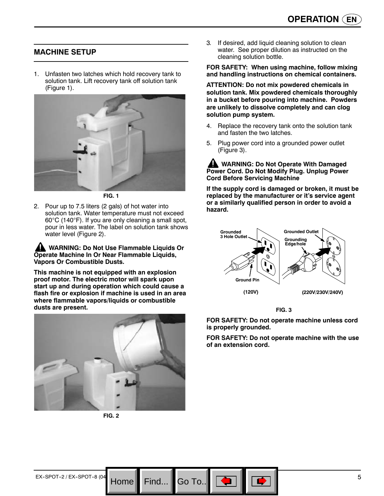## **MACHINE SETUP**

1. Unfasten two latches which hold recovery tank to solution tank. Lift recovery tank off solution tank (Figure 1).



**FIG. 1**

2. Pour up to 7.5 liters (2 gals) of hot water into solution tank. Water temperature must not exceed 60°C (140°F). If you are only cleaning a small spot, pour in less water. The label on solution tank shows water level (Figure 2).

**WARNING: Do Not Use Flammable Liquids Or Operate Machine In Or Near Flammable Liquids, Vapors Or Combustible Dusts.**

**This machine is not equipped with an explosion proof motor. The electric motor will spark upon start up and during operation which could cause a flash fire or explosion if machine is used in an area where flammable vapors/liquids or combustible dusts are present.**



**FIG. 2**

3*.* If desired, add liquid cleaning solution to clean water. See proper dilution as instructed on the cleaning solution bottle.

#### **FOR SAFETY: When using machine, follow mixing and handling instructions on chemical containers.**

**ATTENTION: Do not mix powdered chemicals in solution tank. Mix powdered chemicals thoroughly in a bucket before pouring into machine. Powders are unlikely to dissolve completely and can clog solution pump system.**

- 4. Replace the recovery tank onto the solution tank and fasten the two latches.
- 5. Plug power cord into a grounded power outlet (Figure 3).

**WARNING: Do Not Operate With Damaged Power Cord. Do Not Modify Plug. Unplug Power Cord Before Servicing Machine**

**If the supply cord is damaged or broken, it must be replaced by the manufacturer or it's service agent or a similarly qualified person in order to avoid a hazard.**



**FIG. 3**

**FOR SAFETY: Do not operate machine unless cord is properly grounded.**

**FOR SAFETY: Do not operate machine with the use of an extension cord.**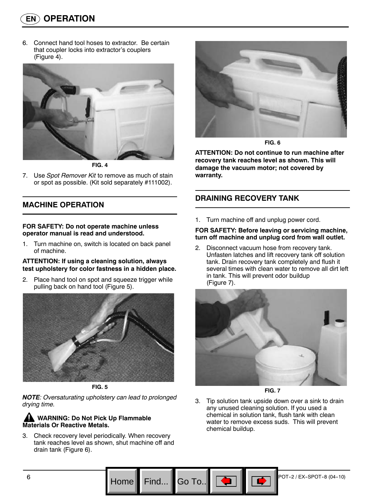6. Connect hand tool hoses to extractor. Be certain that coupler locks into extractor's couplers (Figure 4).



**FIG. 4**

7. Use *Spot Remover Kit* to remove as much of stain or spot as possible. (Kit sold separately #111002).

## **MACHINE OPERATION**

#### **FOR SAFETY: Do not operate machine unless operator manual is read and understood.**

1. Turn machine on, switch is located on back panel of machine.

#### **ATTENTION: If using a cleaning solution, always test upholstery for color fastness in a hidden place.**

2. Place hand tool on spot and squeeze trigger while pulling back on hand tool (Figure 5).



**FIG. 5**

*NOTE: Oversaturating upholstery can lead to prolonged drying time.*

## **AN** WARNING: Do Not Pick Up Flammable **Materials Or Reactive Metals.**

3. Check recovery level periodically. When recovery tank reaches level as shown, shut machine off and drain tank (Figure 6).



**FIG. 6**

**ATTENTION: Do not continue to run machine after recovery tank reaches level as shown. This will damage the vacuum motor; not covered by warranty.**

## **DRAINING RECOVERY TANK**

1. Turn machine off and unplug power cord.

#### **FOR SAFETY: Before leaving or servicing machine, turn off machine and unplug cord from wall outlet.**

2. Disconnect vacuum hose from recovery tank. Unfasten latches and lift recovery tank off solution tank. Drain recovery tank completely and flush it several times with clean water to remove all dirt left in tank. This will prevent odor buildup (Figure 7).



**FIG. 7**

3. Tip solution tank upside down over a sink to drain any unused cleaning solution. If you used a chemical in solution tank, flush tank with clean water to remove excess suds. This will prevent chemical buildup.

Go To.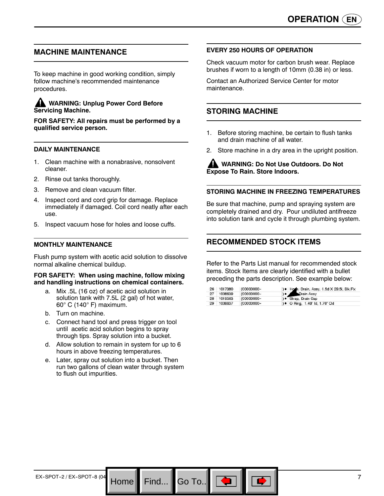## **MACHINE MAINTENANCE**

To keep machine in good working condition, simply follow machine's recommended maintenance procedures.

#### **WARNING: Unplug Power Cord Before Servicing Machine.**

**FOR SAFETY: All repairs must be performed by a qualified service person.**

#### **DAILY MAINTENANCE**

- 1. Clean machine with a nonabrasive, nonsolvent cleaner.
- 2. Rinse out tanks thoroughly.
- 3. Remove and clean vacuum filter.
- 4. Inspect cord and cord grip for damage. Replace immediately if damaged. Coil cord neatly after each use.
- 5. Inspect vacuum hose for holes and loose cuffs.

#### **MONTHLY MAINTENANCE**

Flush pump system with acetic acid solution to dissolve normal alkaline chemical buildup.

#### **FOR SAFETY: When using machine, follow mixing and handling instructions on chemical containers.**

- a. Mix .5L (16 oz) of acetic acid solution in solution tank with 7.5L (2 gal) of hot water, 60° C (140° F) maximum.
- b. Turn on machine.
- c. Connect hand tool and press trigger on tool until acetic acid solution begins to spray through tips. Spray solution into a bucket.
- d. Allow solution to remain in system for up to 6 hours in above freezing temperatures.
- e. Later, spray out solution into a bucket. Then run two gallons of clean water through system to flush out impurities.

Go To..

#### **EVERY 250 HOURS OF OPERATION**

Check vacuum motor for carbon brush wear. Replace brushes if worn to a length of 10mm (0.38 in) or less.

Contact an Authorized Service Center for motor maintenance.

## **STORING MACHINE**

- 1. Before storing machine, be certain to flush tanks and drain machine of all water.
- 2. Store machine in a dry area in the upright position.

**WARNING: Do Not Use Outdoors. Do Not Expose To Rain. Store Indoors.**

#### **STORING MACHINE IN FREEZING TEMPERATURES**

Be sure that machine, pump and spraying system are completely drained and dry. Pour undiluted antifreeze into solution tank and cycle it through plumbing system.

## **RECOMMENDED STOCK ITEMS**

Refer to the Parts List manual for recommended stock items. Stock Items are clearly identified with a bullet preceding the parts description. See example below:

| 26 | 1017380 | (00000000-    | ) . Home, Drain, Assy, 1.5d X 29.5l, Blk, Flx |
|----|---------|---------------|-----------------------------------------------|
| 27 | 1008639 | $(00000000 -$ | e Crain Assy                                  |
| 28 | 1019563 | (00000000-    | ) · Strap, Drain Cap                          |
| 29 | 1008637 | (00000000-    | ) • O Ring, 1.48" Id, 1.76" Od                |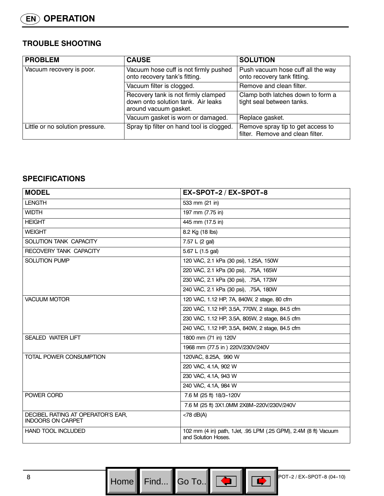## **TROUBLE SHOOTING**

| <b>PROBLEM</b>                  | <b>CAUSE</b>                                                                                       | <b>SOLUTION</b>                                                       |
|---------------------------------|----------------------------------------------------------------------------------------------------|-----------------------------------------------------------------------|
| Vacuum recovery is poor.        | Vacuum hose cuff is not firmly pushed<br>onto recovery tank's fitting.                             | Push vacuum hose cuff all the way<br>onto recovery tank fitting.      |
|                                 | Vacuum filter is clogged.                                                                          | Remove and clean filter.                                              |
|                                 | Recovery tank is not firmly clamped<br>down onto solution tank. Air leaks<br>around vacuum gasket. | Clamp both latches down to form a<br>tight seal between tanks.        |
|                                 | Vacuum gasket is worn or damaged.                                                                  | Replace gasket.                                                       |
| Little or no solution pressure. | Spray tip filter on hand tool is clogged.                                                          | Remove spray tip to get access to<br>filter. Remove and clean filter. |

## **SPECIFICATIONS**

| <b>MODEL</b>                                                  | EX-SPOT-2 / EX-SPOT-8                                                                  |
|---------------------------------------------------------------|----------------------------------------------------------------------------------------|
| <b>LENGTH</b>                                                 | 533 mm (21 in)                                                                         |
| <b>WIDTH</b>                                                  | 197 mm (7.75 in)                                                                       |
| <b>HEIGHT</b>                                                 | 445 mm (17.5 in)                                                                       |
| <b>WEIGHT</b>                                                 | 8.2 Kg (18 lbs)                                                                        |
| SOLUTION TANK CAPACITY                                        | 7.57 L (2 gal)                                                                         |
| RECOVERY TANK CAPACITY                                        | 5.67 L (1.5 gal)                                                                       |
| <b>SOLUTION PUMP</b>                                          | 120 VAC, 2.1 kPa (30 psi), 1.25A, 150W                                                 |
|                                                               | 220 VAC, 2.1 kPa (30 psi), .75A, 165W                                                  |
|                                                               | 230 VAC, 2.1 kPa (30 psi), .75A, 173W                                                  |
|                                                               | 240 VAC, 2.1 kPa (30 psi), .75A, 180W                                                  |
| <b>VACUUM MOTOR</b>                                           | 120 VAC, 1.12 HP, 7A, 840W, 2 stage, 80 cfm                                            |
|                                                               | 220 VAC, 1.12 HP, 3.5A, 770W, 2 stage, 84.5 cfm                                        |
|                                                               | 230 VAC, 1.12 HP, 3.5A, 805W, 2 stage, 84.5 cfm                                        |
|                                                               | 240 VAC, 1.12 HP, 3.5A, 840W, 2 stage, 84.5 cfm                                        |
| <b>SEALED WATER LIFT</b>                                      | 1800 mm (71 in) 120V                                                                   |
|                                                               | 1968 mm (77.5 in ) 220V/230V/240V                                                      |
| <b>TOTAL POWER CONSUMPTION</b>                                | 120VAC, 8.25A, 990 W                                                                   |
|                                                               | 220 VAC, 4.1A, 902 W                                                                   |
|                                                               | 230 VAC, 4.1A, 943 W                                                                   |
|                                                               | 240 VAC, 4.1A, 984 W                                                                   |
| POWER CORD                                                    | 7.6 M (25 ft) 18/3-120V                                                                |
|                                                               | 7.6 M (25 ft) 3X1.0MM 2X8M-220V/230V/240V                                              |
| DECIBEL RATING AT OPERATOR'S EAR,<br><b>INDOORS ON CARPET</b> | $<$ 78 dB(A)                                                                           |
| HAND TOOL INCLUDED                                            | 102 mm (4 in) path, 1Jet, .95 LPM (.25 GPM), 2.4M (8 ft) Vacuum<br>and Solution Hoses. |

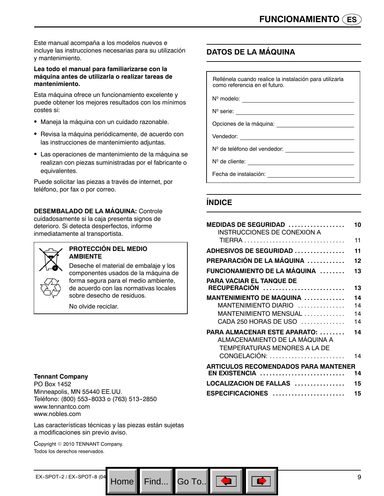Este manual acompaña a los modelos nuevos e incluye las instrucciones necesarias para su utilización y mantenimiento.

#### **Lea todo el manual para familiarizarse con la máquina antes de utilizarla o realizar tareas de mantenimiento.**

Esta máquina ofrece un funcionamiento excelente y puede obtener los mejores resultados con los mínimos costes si:

- Maneja la máquina con un cuidado razonable.
- Revisa la máquina periódicamente, de acuerdo con las instrucciones de mantenimiento adjuntas.
- Las operaciones de mantenimiento de la máquina se realizan con piezas suministradas por el fabricante o equivalentes.

Puede solicitar las piezas a través de internet, por teléfono, por fax o por correo.

**DESEMBALADO DE LA MÁQUINA:** Controle cuidadosamente si la caja presenta signos de deterioro. Si detecta desperfectos, informe inmediatamente al transportista.



#### **PROTECCIÓN DEL MEDIO AMBIENTE**

Deseche el material de embalaje y los componentes usados de la máquina de forma segura para el medio ambiente, de acuerdo con las normativas locales sobre desecho de residuos.

No olvide reciclar.

#### **Tennant Company**

PO Box 1452 Minneapolis, MN 55440 EE.UU. Teléfono: (800) 553-8033 o (763) 513-2850 www.tennantco.com www.nobles.com

Las características técnicas y las piezas están sujetas a modificaciones sin previo aviso.

Copyright © 2010 TENNANT Company. Todos los derechos reservados.

## **DATOS DE LA MÁQUINA**

Rellénela cuando realice la instalación para utilizarla como referencia en el futuro.

Nº modelo:

Nº serie:

Opciones de la máquina:

Vendedor:

Nº de teléfono del vendedor:

Nº de cliente:

Fecha de instalación:

## **ÍNDICE**

| MEDIDAS DE SEGURIDAD $\,\dots\,\dots\,\dots\,\dots\,\dots$<br><b>INSTRUCCIONES DE CONEXION A</b> | 10 |
|--------------------------------------------------------------------------------------------------|----|
|                                                                                                  | 11 |
| <b>ADHESIVOS DE SEGURIDAD </b>                                                                   | 11 |
| PREPARACIÓN DE LA MÁQUINA                                                                        | 12 |
| FUNCIONAMIENTO DE LA MÁQUINA                                                                     | 13 |
| PARA VACIAR EL TANQUE DE                                                                         |    |
| RECUPERACIÓN                                                                                     | 13 |
| MANTENIMIENTO DE MAQUINA                                                                         | 14 |
| MANTENIMIENTO DIARIO                                                                             | 14 |
| MANTENIMIENTO MENSUAL                                                                            | 14 |
| CADA 250 HORAS DE USO                                                                            | 14 |
| PARA ALMACENAR ESTE APARATO:<br>ALMACENAMIENTO DE LA MÁQUINA A<br>TEMPERATURAS MENORES A LA DE   | 14 |
| CONGELACIÓN:                                                                                     | 14 |
| <b>ARTICULOS RECOMENDADOS PARA MANTENER</b>                                                      |    |
| EN EXISTENCIA                                                                                    | 14 |
| LOCALIZACION DE FALLAS                                                                           | 15 |
| ESPECIFICACIONES                                                                                 | 15 |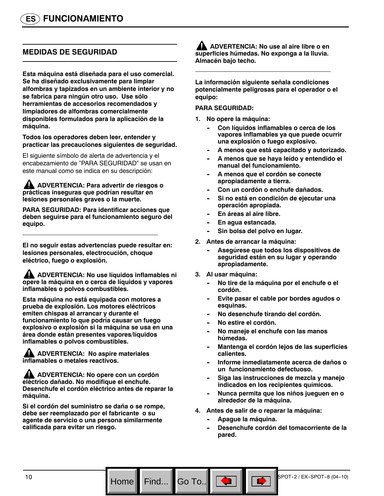## **MEDIDAS DE SEGURIDAD**

**Esta máquina está diseñada para el uso comercial. Se ha diseñado exclusivamente para limpiar alfombras y tapizados en un ambiente interior y no se fabrica para ningún otro uso. Use sólo herramientas de accesorios recomendados y limpiadores de alfombras comercialmente disponibles formulados para la aplicación de la máquina.**

**Todos los operadores deben leer, entender y practicar las precauciones siguientes de seguridad.**

El siguiente símbolo de alerta de advertencia y el encabezamiento de "PARA SEGURIDAD" se usan en este manual como se indica en su descripción:

#### **ADVERTENCIA: Para advertir de riesgos o prácticas inseguras que podrían resultar en lesiones personales graves o la muerte.**

**PARA SEGURIDAD: Para identificar acciones que deben seguirse para el funcionamiento seguro del equipo.**

**El no seguir estas advertencias puede resultar en: lesiones personales, electrocución, choque eléctrico, fuego o explosión.**

**ADVERTENCIA: No use líquidos inflamables ni opere la máquina en o cerca de líquidos y vapores inflamables o polvos combustibles.**

**Esta máquina no está equipada con motores a prueba de explosión. Los motores eléctricos emiten chispas al arrancar y durante el funcionamiento lo que podría causar un fuego explosivo o explosión si la máquina se usa en una área donde están presentes vapores/líquidos inflamables o polvos combustibles.**

**ADVERTENCIA: No aspire materiales inflamables o metales reactivos.**

**ADVERTENCIA: No opere con un cordón eléctrico dañado. No modifique el enchufe. Desenchufe el cordón eléctrico antes de reparar la máquina.**

**Si el cordón del suministro se daña o se rompe, debe ser reemplazado por el fabricante o su agente de servicio o una persona similarmente calificada para evitar un riesgo.**

**ADVERTENCIA: No use al aire libre o en superficies húmedas. No exponga a la lluvia. Almacén bajo techo.**

**La información siguiente señala condiciones potencialmente peligrosas para el operador o el equipo:**

#### **PARA SEGURIDAD:**

- **1. No opere la máquina:**
	- Con líquidos inflamables o cerca de los **vapores inflamables ya que puede ocurrir una explosión o fuego explosivo.**
	- **-- A menos que está capacitado y autorizado.**
	- A menos que se haya leído y entendido el **manual del funcionamiento.**
	- A menos que el cordón se conecte **apropiadamente a tierra.**
	- Con un cordón o enchufe dañados.
	- Si no está en condición de ejecutar una **operación apropiada.**
	- **En áreas al aire libre.**
	- **En agua estancada.**
	- Sin bolsa del polvo en lugar.
- **2. Antes de arrancar la máquina:**
	- Asegúrese que todos los dispositivos de **seguridad están en su lugar y operando apropiadamente.**
- **3. Al usar máquina:**
	- **-- No tire de la máquina por el enchufe o el cordón.**
	- Evite pasar el cable por bordes agudos o **esquinas.**
	- No desenchufe tirando del cordón.
	- $N$ o estire el cordón.
	- **-- No maneje el enchufe con las manos húmedas.**
	- **Mantenga el cordón lejos de las superficies calientes.**
	- **-- Informe inmediatamente acerca de daños o un funcionamiento defectuoso.**
	- Siga las instrucciones de mezcla y manejo **indicados en los recipientes químicos.**
	- **-- Nunca permita que los niños jueguen en o alrededor de la máquina.**
- **4. Antes de salir de o reparar la máquina:**
	- Apague la máquina.

Go To..

Desenchufe cordón del tomacorriente de la **pared.**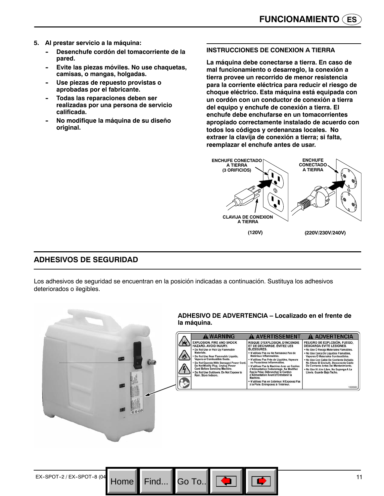- **5. Al prestar servicio a la máquina:**
	- Desenchufe cordón del tomacorriente de la **pared.**
	- Evite las piezas móviles. No use chaquetas, **camisas, o mangas, holgadas.**
	- Use piezas de repuesto provistas o **aprobadas por el fabricante.**
	- **Todas las reparaciones deben ser realizadas por una persona de servicio calificada.**
	- **-- No modifique la máquina de su diseño original.**

#### **INSTRUCCIONES DE CONEXION A TIERRA**

**La máquina debe conectarse a tierra. En caso de mal funcionamiento o desarreglo, la conexión a tierra provee un recorrido de menor resistencia para la corriente eléctrica para reducir el riesgo de choque eléctrico. Esta máquina está equipada con un cordón con un conductor de conexión a tierra del equipo y enchufe de conexión a tierra. El enchufe debe enchufarse en un tomacorrientes apropiado correctamente instalado de acuerdo con todos los códigos y ordenanzas locales. No extraer la clavija de conexión a tierra; si falta, reemplazar el enchufe antes de usar.**



## **ADHESIVOS DE SEGURIDAD**

Los adhesivos de seguridad se encuentran en la posición indicadas a continuación. Sustituya los adhesivos deteriorados o ilegibles.

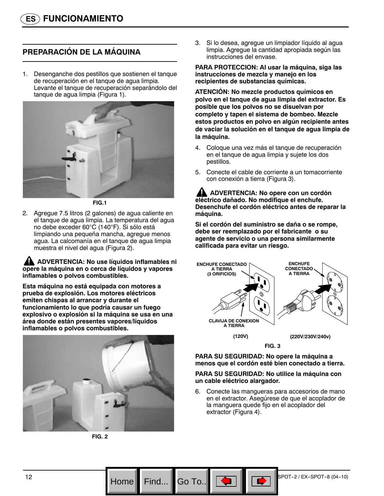## **PREPARACIÓN DE LA MÁQUINA**

1. Desenganche dos pestillos que sostienen el tanque de recuperación en el tanque de agua limpia. Levante el tanque de recuperación separándolo del tanque de agua limpia (Figura 1)*.*



**FIG.1**

2. Agregue 7.5 litros (2 galones) de agua caliente en el tanque de agua limpia. La temperatura del agua no debe exceder 60°C (140°F). Si sólo está limpiando una pequeña mancha, agregue menos agua. La calcomanía en el tanque de agua limpia muestra el nivel del agua (Figura 2).

**ADVERTENCIA: No use líquidos inflamables ni opere la máquina en o cerca de líquidos y vapores inflamables o polvos combustibles.**

**Esta máquina no está equipada con motores a prueba de explosión. Los motores eléctricos emiten chispas al arrancar y durante el funcionamiento lo que podría causar un fuego explosivo o explosión si la máquina se usa en una área donde están presentes vapores/líquidos inflamables o polvos combustibles.**



**FIG. 2**

3. Si lo desea, agregue un limpiador líquido al agua limpia. Agregue la cantidad apropiada según las instrucciones del envase.

**PARA PROTECCION: Al usar la máquina, siga las instrucciones de mezcla y manejo en los recipientes de substancias químicas.**

**ATENCIÓN: No mezcle productos químicos en polvo en el tanque de agua limpia del extractor. Es posible que los polvos no se disuelvan por completo y tapen el sistema de bombeo. Mezcle estos productos en polvo en algún recipiente antes de vaciar la solución en el tanque de agua limpia de la máquina.**

- 4. Coloque una vez más el tanque de recuperación en el tanque de agua limpia y sujete los dos pestillos.
- 5. Conecte el cable de corriente a un tomacorriente con conexión a tierra (Figura 3).

**ADVERTENCIA: No opere con un cordón eléctrico dañado. No modifique el enchufe. Desenchufe el cordón eléctrico antes de reparar la máquina.**

**Si el cordón del suministro se daña o se rompe, debe ser reemplazado por el fabricante o su agente de servicio o una persona similarmente calificada para evitar un riesgo.**



**PARA SU SEGURIDAD: No opere la máquina a menos que el cordón esté bien conectado a tierra.**

#### **PARA SU SEGURIDAD: No utilice la máquina con un cable eléctrico alargador.**

6. Conecte las mangueras para accesorios de mano en el extractor. Asegúrese de que el acoplador de la manguera quede fijo en el acoplador del extractor (Figura 4).



Go To.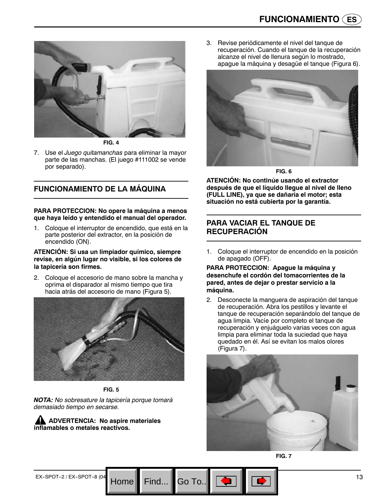

**FIG. 4**

7. Use el *Juego quitamanchas* para eliminar la mayor parte de las manchas. (El juego #111002 se vende por separado).

## **FUNCIONAMIENTO DE LA MÁQUINA**

#### **PARA PROTECCION: No opere la máquina a menos que haya leído y entendido el manual del operador.**

1. Coloque el interruptor de encendido, que está en la parte posterior del extractor, en la posición de encendido (ON).

#### **ATENCIÓN: Si usa un limpiador químico, siempre revise, en algún lugar no visible, si los colores de la tapicería son firmes.**

2. Coloque el accesorio de mano sobre la mancha y oprima el disparador al mismo tiempo que tira hacia atrás del accesorio de mano (Figura 5).



**FIG. 5**

Home

*NOTA: No sobresature la tapicería porque tomará demasiado tiempo en secarse.*

**A** ADVERTENCIA: No aspire materiales **inflamables o metales reactivos.**

3. Revise periódicamente el nivel del tanque de recuperación. Cuando el tanque de la recuperación alcanze el nivel de llenura según lo mostrado, apague la máquina y desagüe el tanque (Figura 6).



**FIG. 6**

**ATENCIÓN: No continúe usando el extractor después de que el líquido llegue al nivel de lleno (FULL LINE), ya que se dañaría el motor; esta situación no está cubierta por la garantía.**

## **PARA VACIAR EL TANQUE DE RECUPERACIÓN**

1. Coloque el interruptor de encendido en la posición de apagado (OFF).

#### **PARA PROTECCION: Apague la máquina y desenchufe el cordón del tomacorrientes de la pared, antes de dejar o prestar servicio a la máquina.**

2. Desconecte la manguera de aspiración del tanque de recuperación. Abra los pestillos y levante el tanque de recuperación separándolo del tanque de agua limpia. Vacíe por completo el tanque de recuperación y enjuáguelo varias veces con agua limpia para eliminar toda la suciedad que haya quedado en él. Así se evitan los malos olores (Figura 7).



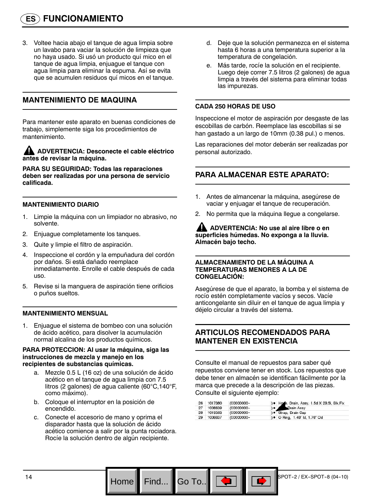3. Voltee hacia abajo el tanque de agua limpia sobre un lavabo para vaciar la solución de limpieza que no haya usado. Si usó un producto quí mico en el tanque de agua limpia, enjuague el tanque con agua limpia para eliminar la espuma. Así se evita que se acumulen residuos quí micos en el tanque.

## **MANTENIMIENTO DE MAQUINA**

Para mantener este aparato en buenas condiciones de trabajo, simplemente siga los procedimientos de mantenimiento.

**ADVERTENCIA: Desconecte el cable eléctrico antes de revisar la máquina.**

**PARA SU SEGURIDAD: Todas las reparaciones deben ser realizadas por una persona de servicio calificada.**

#### **MANTENIMIENTO DIARIO**

- 1. Limpie la máquina con un limpiador no abrasivo, no solvente.
- 2. Enjuague completamente los tanques.
- 3. Quite y limpie el filtro de aspiración.
- 4. Inspeccione el cordón y la empuñadura del cordón por daños. Si está dañado reemplace inmediatamente. Enrolle el cable después de cada uso.
- 5. Revise si la manguera de aspiración tiene orificios o puños sueltos.

#### **MANTENIMIENTO MENSUAL**

1. Enjuague el sistema de bombeo con una solución de ácido acético, para disolver la acumulación normal alcalina de los productos químicos.

#### **PARA PROTECCION: Al usar la máquina, siga las instrucciones de mezcla y manejo en los recipientes de substancias químicas.**

- a. Mezcle 0.5 L (16 oz) de una solución de ácido acético en el tanque de agua limpia con 7.5 litros (2 galones) de agua caliente (60°C,140°F, como máximo).
- b. Coloque el interruptor en la posición de encendido.
- c. Conecte el accesorio de mano y oprima el disparador hasta que la solución de ácido acético comience a salir por la punta rociadora. Rocíe la solución dentro de algún recipiente.
- d. Deje que la solución permanezca en el sistema hasta 6 horas a una temperatura superior a la temperatura de congelación.
- e. Más tarde, rocíe la solución en el recipiente. Luego deje correr 7.5 litros (2 galones) de agua limpia a través del sistema para eliminar todas las impurezas.

#### **CADA 250 HORAS DE USO**

Inspeccione el motor de aspiración por desgaste de las escobillas de carbón. Reemplace las escobillas si se han gastado a un largo de 10mm (0.38 pul.) o menos.

Las reparaciones del motor deberán ser realizadas por personal autorizado.

## **PARA ALMACENAR ESTE APARATO:**

- 1. Antes de almancenar la máquina, asegúrese de vaciar y enjuagar el tanque de recuperación.
- 2. No permita que la máquina llegue a congelarse.

**ADVERTENCIA: No use al aire libre o en superficies húmedas. No exponga a la lluvia. Almacén bajo techo.**

#### **ALMACENAMIENTO DE LA MÁQUINA A TEMPERATURAS MENORES A LA DE CONGELACIÓN:**

Asegúrese de que el aparato, la bomba y el sistema de rocío estén completamente vacíos y secos. Vacíe anticongelante sin diluir en el tanque de agua limpia y déjelo circular a través del sistema.

## **ARTICULOS RECOMENDADOS PARA MANTENER EN EXISTENCIA**

Consulte el manual de repuestos para saber qué repuestos conviene tener en stock. Los repuestos que debe tener en almacén se identifican fácilmente por la marca que precede a la descripción de las piezas. Consulte el siguiente ejemplo:

|    | 26 1017380 | (00000000- | ) . Hone, Drain, Assy, 1.5d X 29.5l, Blk, Flx |
|----|------------|------------|-----------------------------------------------|
| 27 | 1008639    | (00000000- | ) • Drain Assy                                |
|    | 28 1019563 | (00000000- | ) · Strap, Drain Cap                          |
| 29 | 1008637    | (00000000- | ) • O Ring, 1.48" ld, 1.76" Od                |

Go To..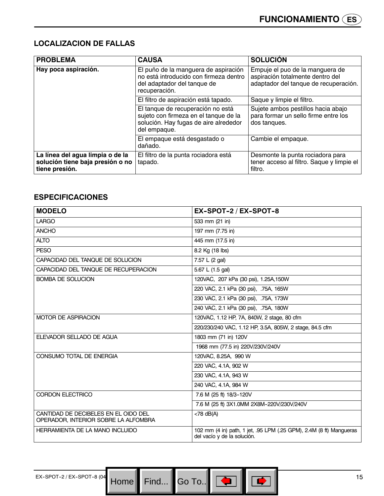## **LOCALIZACION DE FALLAS**

| <b>PROBLEMA</b>                                                                        | <b>CAUSA</b>                                                                                                                        | <b>SOLUCIÓN</b>                                                                                              |
|----------------------------------------------------------------------------------------|-------------------------------------------------------------------------------------------------------------------------------------|--------------------------------------------------------------------------------------------------------------|
| Hay poca aspiración.                                                                   | El puño de la manguera de aspiración<br>no está introducido con firmeza dentro<br>del adaptador del tanque de<br>recuperación.      | Empuje el puo de la manguera de<br>aspiración totalmente dentro del<br>adaptador del tanque de recuperación. |
|                                                                                        | El filtro de aspiración está tapado.                                                                                                | Saque y limpie el filtro.                                                                                    |
|                                                                                        | El tanque de recuperación no está<br>sujeto con firmeza en el tanque de la<br>solución. Hay fugas de aire alrededor<br>del empaque. | Sujete ambos pestillos hacia abajo<br>para formar un sello firme entre los<br>dos tanques.                   |
|                                                                                        | El empaque está desgastado o<br>dañado.                                                                                             | Cambie el empaque.                                                                                           |
| La línea del agua limpia o de la<br>solución tiene baja presión o no<br>tiene presión. | El filtro de la punta rociadora está<br>tapado.                                                                                     | Desmonte la punta rociadora para<br>tener acceso al filtro. Saque y limpie el<br>filtro.                     |

## **ESPECIFICACIONES**

| <b>MODELO</b>                                                                | EX-SPOT-2 / EX-SPOT-8                                                                              |
|------------------------------------------------------------------------------|----------------------------------------------------------------------------------------------------|
| <b>LARGO</b>                                                                 | 533 mm (21 in)                                                                                     |
| <b>ANCHO</b>                                                                 | 197 mm (7.75 in)                                                                                   |
| <b>ALTO</b>                                                                  | 445 mm (17.5 in)                                                                                   |
| <b>PESO</b>                                                                  | 8.2 Kg (18 lbs)                                                                                    |
| CAPACIDAD DEL TANQUE DE SOLUCION                                             | 7.57 L (2 gal)                                                                                     |
| CAPACIDAD DEL TANQUE DE RECUPERACION                                         | 5.67 L (1.5 gal)                                                                                   |
| <b>BOMBA DE SOLUCION</b>                                                     | 120VAC, 207 kPa (30 psi), 1.25A, 150W                                                              |
|                                                                              | 220 VAC, 2.1 kPa (30 psi), .75A, 165W                                                              |
|                                                                              | 230 VAC, 2.1 kPa (30 psi), .75A, 173W                                                              |
|                                                                              | 240 VAC, 2.1 kPa (30 psi), .75A, 180W                                                              |
| <b>MOTOR DE ASPIRACION</b>                                                   | 120VAC, 1.12 HP, 7A, 840W, 2 stage, 80 cfm                                                         |
|                                                                              | 220/230/240 VAC, 1.12 HP, 3.5A, 805W, 2 stage, 84.5 cfm                                            |
| ELEVADOR SELLADO DE AGUA                                                     | 1803 mm (71 in) 120V                                                                               |
|                                                                              | 1968 mm (77.5 in) 220V/230V/240V                                                                   |
| CONSUMO TOTAL DE ENERGIA                                                     | 120VAC, 8.25A, 990 W                                                                               |
|                                                                              | 220 VAC, 4.1A, 902 W                                                                               |
|                                                                              | 230 VAC, 4.1A, 943 W                                                                               |
|                                                                              | 240 VAC, 4.1A, 984 W                                                                               |
| CORDON ELECTRICO                                                             | 7.6 M (25 ft) 18/3-120V                                                                            |
|                                                                              | 7.6 M (25 ft) 3X1.0MM 2X8M-220V/230V/240V                                                          |
| CANTIDAD DE DECIBELES EN EL OIDO DEL<br>OPERADOR, INTERIOR SOBRE LA ALFOMBRA | $<$ 78 dB(A)                                                                                       |
| HERRAMIENTA DE LA MANO INCLUIDO                                              | 102 mm (4 in) path, 1 jet, .95 LPM (.25 GPM), 2.4M (8 ft) Mangueras<br>del vacío y de la solución. |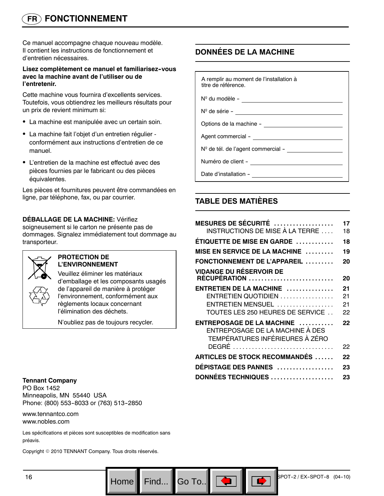## **FR FONCTIONNEMENT**

Ce manuel accompagne chaque nouveau modèle. Il contient les instructions de fonctionnement et d'entretien nécessaires.

#### **Lisez complètement ce manuel et familiarisez--vous avec la machine avant de l'utiliser ou de l'entretenir.**

Cette machine vous fournira d'excellents services. Toutefois, vous obtiendrez les meilleurs résultats pour un prix de revient minimum si:

- La machine est manipulée avec un certain soin.
- La machine fait l'objet d'un entretien régulier conformément aux instructions d'entretien de ce manuel.
- L'entretien de la machine est effectué avec des pièces fournies par le fabricant ou des pièces équivalentes.

Les pièces et fournitures peuvent être commandées en ligne, par téléphone, fax, ou par courrier.

## **DÉBALLAGE DE LA MACHINE:** Vérifiez

soigneusement si le carton ne présente pas de dommages. Signalez immédiatement tout dommage au transporteur.



#### **PROTECTION DE L'ENVIRONNEMENT**

Veuillez éliminer les matériaux d'emballage et les composants usagés de l'appareil de manière à protéger l'environnement, conformément aux règlements locaux concernant l'élimination des déchets.

N'oubliez pas de toujours recycler.

## **DONNÉES DE LA MACHINE**

A remplir au moment de l'installation à titre de référence.  $N^{\circ}$  du modèle  $-$ Nº de série -Options de la machine -Agent commercial -N<sup>o</sup> de tél. de l'agent commercial -Numéro de client -Date d'installation --

## **TABLE DES MATIÈRES**

Go To.. $\blacksquare$ 

| <b>MESURES DE SÉCURITÉ</b><br>INSTRUCTIONS DE MISE À LA TERRE                                   | 17<br>18 |
|-------------------------------------------------------------------------------------------------|----------|
| ÉTIQUETTE DE MISE EN GARDE                                                                      | 18       |
| MISE EN SERVICE DE LA MACHINE                                                                   | 19       |
| FONCTIONNEMENT DE L'APPAREIL                                                                    | 20       |
| <b>VIDANGE DU RÉSERVOIR DE</b><br><b>RÉCUPÉRATION </b>                                          | 20       |
| ENTRETIEN DE LA MACHINE                                                                         | 21       |
| $ENTRETIEN QUOTIDIEN$                                                                           | 21       |
| ENTRETIEN MENSUEL                                                                               | 21       |
| TOUTES LES 250 HEURES DE SERVICE                                                                | 22       |
| ENTREPOSAGE DE LA MACHINE<br>ENTREPOSAGE DE LA MACHINE À DES<br>TEMPÉRATURES INFÉRIEURES À ZÉRO | 22       |
| DEGRÉ                                                                                           | 22       |
| <b>ARTICLES DE STOCK RECOMMANDÉS</b>                                                            | 22       |
| DÉPISTAGE DES PANNES                                                                            | 23       |
| DONNÉES TECHNIQUES                                                                              | 23       |

**Tennant Company** PO Box 1452 Minneapolis, MN 55440 USA Phone: (800) 553-8033 or (763) 513-2850

www.tennantco.com www.nobles.com

Les spécifications et pièces sont susceptibles de modification sans préavis.

Copyright © 2010 TENNANT Company. Tous droits réservés.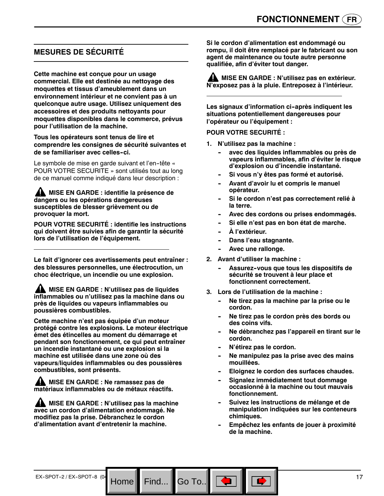## **MESURES DE SÉCURITÉ**

**Cette machine est conçue pour un usage commercial. Elle est destinée au nettoyage des moquettes et tissus d'ameublement dans un environnement intérieur et ne convient pas à un quelconque autre usage. Utilisez uniquement des accessoires et des produits nettoyants pour moquettes disponibles dans le commerce, prévus pour l'utilisation de la machine.**

**Tous les opérateurs sont tenus de lire et comprendre les consignes de sécurité suivantes et de se familiariser avec celles--ci.**

Le symbole de mise en garde suivant et l'en-tête « POUR VOTRE SECURITE » sont utilisés tout au long de ce manuel comme indiqué dans leur description :

**A MISE EN GARDE : identifie la présence de dangers ou les opérations dangereuses susceptibles de blesser grièvement ou de provoquer la mort.**

**POUR VOTRE SECURITÉ : identifie les instructions qui doivent être suivies afin de garantir la sécurité lors de l'utilisation de l'équipement.**

**Le fait d'ignorer ces avertissements peut entraîner : des blessures personnelles, une électrocution, un choc électrique, un incendie ou une explosion.**

**A** MISE EN GARDE : N'utilisez pas de liquides **inflammables ou n'utilisez pas la machine dans ou près de liquides ou vapeurs inflammables ou poussières combustibles.**

**Cette machine n'est pas équipée d'un moteur protégé contre les explosions. Le moteur électrique émet des étincelles au moment du démarrage et pendant son fonctionnement, ce qui peut entraîner un incendie instantané ou une explosion si la machine est utilisée dans une zone où des vapeurs/liquides inflammables ou des poussières combustibles, sont présents.**

**ANISE EN GARDE : Ne ramassez pas de matériaux inflammables ou de métaux réactifs.**

**A** MISE EN GARDE : N'utilisez pas la machine **avec un cordon d'alimentation endommagé. Ne modifiez pas la prise. Débranchez le cordon d'alimentation avant d'entretenir la machine.**

Home<sup>|</sup>

**Si le cordon d'alimentation est endommagé ou rompu, il doit être remplacé par le fabricant ou son agent de maintenance ou toute autre personne qualifiée, afin d'éviter tout danger.**

**MISE EN GARDE : N'utilisez pas en extérieur. N'exposez pas à la pluie. Entreposez à l'intérieur.**

Les signaux d'information ci-après indiquent les **situations potentiellement dangereuses pour l'opérateur ou l'équipement :**

**POUR VOTRE SECURITÉ :**

- **1. N'utilisez pas la machine :**
	- avec des liquides inflammables ou près de **vapeurs inflammables, afin d'éviter le risque d'explosion ou d'incendie instantané.**
	- Si vous n'y êtes pas formé et autorisé.
	- Avant d'avoir lu et compris le manuel **opérateur.**
	- Si le cordon n'est pas correctement relié à **la terre.**
	- Avec des cordons ou prises endommagés.
	- Si elle n'est pas en bon état de marche.
	- $\mathbf{\hat{A}}$  l'extérieur.
	- **Dans l'eau stagnante.**
	- Avec une rallonge.
- **2. Avant d'utiliser la machine :**
	- Assurez-vous que tous les dispositifs de **sécurité se trouvent à leur place et fonctionnent correctement.**
- **3. Lors de l'utilisation de la machine :**
	- **-- Ne tirez pas la machine par la prise ou le cordon.**
	- Ne tirez pas le cordon près des bords ou **des coins vifs.**
	- Ne débranchez pas l'appareil en tirant sur le **cordon.**
	- **N'étirez pas le cordon.**
	- Ne manipulez pas la prise avec des mains **mouillées.**
	- Eloignez le cordon des surfaces chaudes.
	- **Signalez immédiatement tout dommage occasionné à la machine ou tout mauvais fonctionnement.**
	- Suivez les instructions de mélange et de **manipulation indiquées sur les conteneurs chimiques.**
	- **-- Empêchez les enfants de jouer à proximité de la machine.**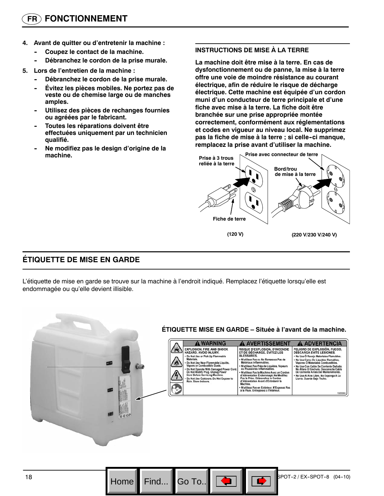- **4. Avant de quitter ou d'entretenir la machine :**
	- **Coupez le contact de la machine.**
	- Débranchez le cordon de la prise murale.
- **5. Lors de l'entretien de la machine :**
	- Débranchez le cordon de la prise murale.
	- **Évitez les pièces mobiles. Ne portez pas de veste ou de chemise large ou de manches amples.**
	- Utilisez des pièces de rechanges fournies **ou agréées par le fabricant.**
	- **Toutes les réparations doivent être effectuées uniquement par un technicien qualifié.**
	- **-- Ne modifiez pas le design d'origine de la machine.**

#### **INSTRUCTIONS DE MISE À LA TERRE**

**La machine doit être mise à la terre. En cas de dysfonctionnement ou de panne, la mise à la terre offre une voie de moindre résistance au courant électrique, afin de réduire le risque de décharge électrique. Cette machine est équipée d'un cordon muni d'un conducteur de terre principale et d'une fiche avec mise à la terre. La fiche doit être branchée sur une prise appropriée montée correctement, conformément aux réglementations et codes en vigueur au niveau local. Ne supprimez pas la fiche de mise à la terre ; si celle--ci manque, remplacez la prise avant d'utiliser la machine.**



## **ÉTIQUETTE DE MISE EN GARDE**

L'étiquette de mise en garde se trouve sur la machine à l'endroit indiqué. Remplacez l'étiquette lorsqu'elle est endommagée ou qu'elle devient illisible.



Go To..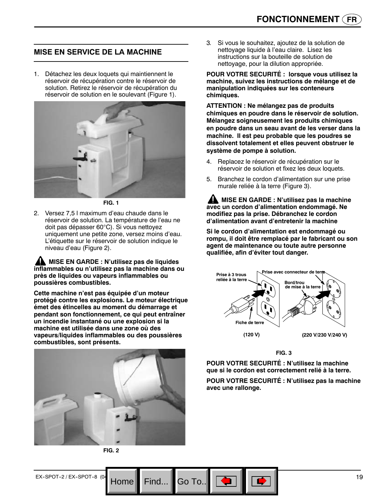## **MISE EN SERVICE DE LA MACHINE**

1. Détachez les deux loquets qui maintiennent le réservoir de récupération contre le réservoir de solution. Retirez le réservoir de récupération du réservoir de solution en le soulevant (Figure 1).



**FIG. 1**

2. Versez 7,5 l maximum d'eau chaude dans le réservoir de solution. La température de l'eau ne doit pas dépasser 60°C). Si vous nettoyez uniquement une petite zone, versez moins d'eau. L'étiquette sur le réservoir de solution indique le niveau d'eau (Figure 2).

**ANDISE EN GARDE : N'utilisez pas de liquides inflammables ou n'utilisez pas la machine dans ou près de liquides ou vapeurs inflammables ou poussières combustibles.**

**Cette machine n'est pas équipée d'un moteur protégé contre les explosions. Le moteur électrique émet des étincelles au moment du démarrage et pendant son fonctionnement, ce qui peut entraîner un incendie instantané ou une explosion si la machine est utilisée dans une zone où des vapeurs/liquides inflammables ou des poussières combustibles, sont présents.**



**FIG. 2**

3*.* Si vous le souhaitez, ajoutez de la solution de nettoyage liquide à l'eau claire. Lisez les instructions sur la bouteille de solution de nettoyage, pour la dilution appropriée.

**POUR VOTRE SECURITÉ : lorsque vous utilisez la machine, suivez les instructions de mélange et de manipulation indiquées sur les conteneurs chimiques.**

**ATTENTION : Ne mélangez pas de produits chimiques en poudre dans le réservoir de solution. Mélangez soigneusement les produits chimiques en poudre dans un seau avant de les verser dans la machine. Il est peu probable que les poudres se dissolvent totalement et elles peuvent obstruer le système de pompe à solution.**

- 4. Replacez le réservoir de récupération sur le réservoir de solution et fixez les deux loquets.
- 5. Branchez le cordon d'alimentation sur une prise murale reliée à la terre (Figure 3).

**MISE EN GARDE : N'utilisez pas la machine avec un cordon d'alimentation endommagé. Ne modifiez pas la prise. Débranchez le cordon d'alimentation avant d'entretenir la machine**

**Si le cordon d'alimentation est endommagé ou rompu, il doit être remplacé par le fabricant ou son agent de maintenance ou toute autre personne qualifiée, afin d'éviter tout danger.**



**FIG. 3**

**POUR VOTRE SECURITÉ : N'utilisez la machine que si le cordon est correctement relié à la terre.**

**POUR VOTRE SECURITÉ : N'utilisez pas la machine avec une rallonge.**

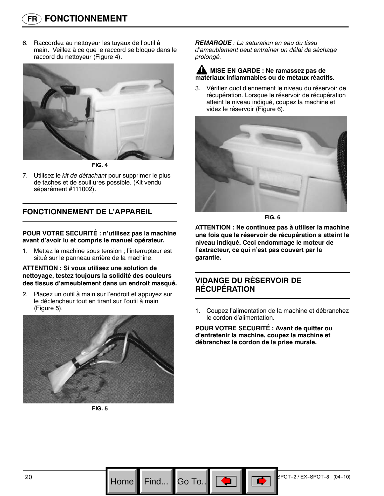6. Raccordez au nettoyeur les tuyaux de l'outil à main. Veillez à ce que le raccord se bloque dans le raccord du nettoyeur (Figure 4).



**FIG. 4**

7. Utilisez le *kit de détachant* pour supprimer le plus de taches et de souillures possible. (Kit vendu séparément #111002).

## **FONCTIONNEMENT DE L'APPAREIL**

**POUR VOTRE SECURITÉ : n'utilisez pas la machine avant d'avoir lu et compris le manuel opérateur.**

1. Mettez la machine sous tension ; l'interrupteur est situé sur le panneau arrière de la machine.

**ATTENTION : Si vous utilisez une solution de nettoyage, testez toujours la solidité des couleurs des tissus d'ameublement dans un endroit masqué.**

2. Placez un outil à main sur l'endroit et appuyez sur le déclencheur tout en tirant sur l'outil à main (Figure 5).



**FIG. 5**

*REMARQUE : La saturation en eau du tissu d'ameublement peut entraîner un délai de séchage prolongé.*

#### **MISE EN GARDE : Ne ramassez pas de matériaux inflammables ou de métaux réactifs.**

3. Vérifiez quotidiennement le niveau du réservoir de récupération. Lorsque le réservoir de récupération atteint le niveau indiqué, coupez la machine et videz le réservoir (Figure 6).



**FIG. 6**

**ATTENTION : Ne continuez pas à utiliser la machine une fois que le réservoir de récupération a atteint le niveau indiqué. Ceci endommage le moteur de l'extracteur, ce qui n'est pas couvert par la garantie.**

## **VIDANGE DU RÉSERVOIR DE RÉCUPÉRATION**

Go To..

1. Coupez l'alimentation de la machine et débranchez le cordon d'alimentation.

**POUR VOTRE SECURITÉ : Avant de quitter ou d'entretenir la machine, coupez la machine et débranchez le cordon de la prise murale.**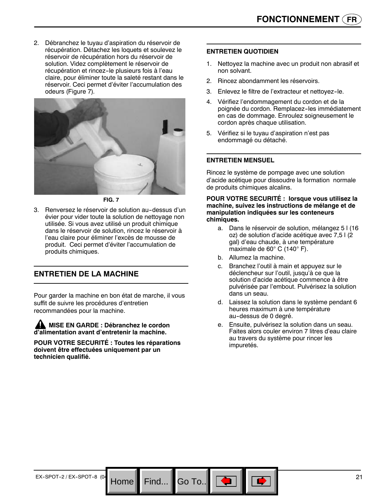2. Débranchez le tuyau d'aspiration du réservoir de récupération. Détachez les loquets et soulevez le réservoir de récupération hors du réservoir de solution. Videz complètement le réservoir de récupération et rincez-le plusieurs fois à l'eau claire, pour éliminer toute la saleté restant dans le réservoir. Ceci permet d'éviter l'accumulation des odeurs (Figure 7)*.*



**FIG. 7**

3. Renversez le réservoir de solution au-dessus d'un évier pour vider toute la solution de nettoyage non utilisée. Si vous avez utilisé un produit chimique dans le réservoir de solution, rincez le réservoir à l'eau claire pour éliminer l'excès de mousse de produit. Ceci permet d'éviter l'accumulation de produits chimiques.

## **ENTRETIEN DE LA MACHINE**

Pour garder la machine en bon état de marche, il vous suffit de suivre les procédures d'entretien recommandées pour la machine.

**MISE EN GARDE : Débranchez le cordon d'alimentation avant d'entretenir la machine.**

**POUR VOTRE SECURITÉ : Toutes les réparations doivent être effectuées uniquement par un technicien qualifié.**

#### **ENTRETIEN QUOTIDIEN**

- 1. Nettoyez la machine avec un produit non abrasif et non solvant.
- 2. Rincez abondamment les réservoirs.
- 3. Enlevez le filtre de l'extracteur et nettovez-le.
- 4. Vérifiez l'endommagement du cordon et de la poignée du cordon. Remplacez-les immédiatement en cas de dommage. Enroulez soigneusement le cordon après chaque utilisation.
- 5. Vérifiez si le tuyau d'aspiration n'est pas endommagé ou détaché.

#### **ENTRETIEN MENSUEL**

Rincez le système de pompage avec une solution d'acide acétique pour dissoudre la formation normale de produits chimiques alcalins.

#### **POUR VOTRE SECURITÉ : lorsque vous utilisez la machine, suivez les instructions de mélange et de manipulation indiquées sur les conteneurs chimiques.**

- a. Dans le réservoir de solution, mélangez 5 l (16 oz) de solution d'acide acétique avec 7,5 l (2 gal) d'eau chaude, à une température maximale de 60° C (140° F).
- b. Allumez la machine.

Go To.. $\parallel$ 

- c. Branchez l'outil à main et appuyez sur le déclencheur sur l'outil, jusqu'à ce que la solution d'acide acétique commence à être pulvérisée par l'embout. Pulvérisez la solution dans un seau.
- d. Laissez la solution dans le système pendant 6 heures maximum à une température au-dessus de 0 degré.
- e. Ensuite, pulvérisez la solution dans un seau. Faites alors couler environ 7 litres d'eau claire au travers du système pour rincer les impuretés.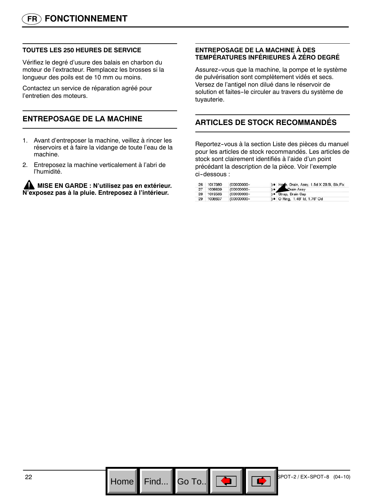#### **TOUTES LES 250 HEURES DE SERVICE**

Vérifiez le degré d'usure des balais en charbon du moteur de l'extracteur. Remplacez les brosses si la longueur des poils est de 10 mm ou moins.

Contactez un service de réparation agréé pour l'entretien des moteurs.

## **ENTREPOSAGE DE LA MACHINE**

- 1. Avant d'entreposer la machine, veillez à rincer les réservoirs et à faire la vidange de toute l'eau de la machine.
- 2. Entreposez la machine verticalement à l'abri de l'humidité.

**A MISE EN GARDE : N'utilisez pas en extérieur. N'exposez pas à la pluie. Entreposez à l'intérieur.**

#### **ENTREPOSAGE DE LA MACHINE À DES TEMPÉRATURES INFÉRIEURES À ZÉRO DEGRÉ**

Assurez--vous que la machine, la pompe et le système de pulvérisation sont complètement vidés et secs. Versez de l'antigel non dilué dans le réservoir de solution et faites-le circuler au travers du système de tuyauterie.

## **ARTICLES DE STOCK RECOMMANDÉS**

Reportez--vous à la section Liste des pièces du manuel pour les articles de stock recommandés. Les articles de stock sont clairement identifiés à l'aide d'un point précédant la description de la pièce. Voir l'exemple ci--dessous :

| 26  | 1017380    | (00000000- | ) . Hose, Drain, Assy, 1.5d X 29.5l, Blk, Flx |
|-----|------------|------------|-----------------------------------------------|
| -27 | 1008639    | (00000000- | ) • Drain Assy                                |
|     | 28 1019563 | (00000000- | ) · Strap, Drain Cap                          |
| -29 | 1006637    | (00000000- | ) • O Ring, 1.48" Id, 1.76" Od                |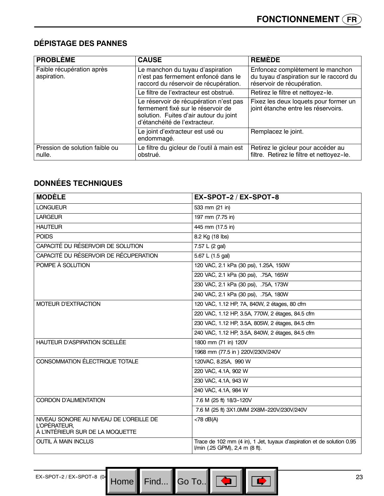## **DÉPISTAGE DES PANNES**

| <b>PROBLÈME</b>                          | <b>CAUSE</b>                                                                                                                                            | <b>REMÈDE</b>                                                                                             |
|------------------------------------------|---------------------------------------------------------------------------------------------------------------------------------------------------------|-----------------------------------------------------------------------------------------------------------|
| Faible récupération après<br>aspiration. | Le manchon du tuyau d'aspiration<br>n'est pas fermement enfoncé dans le<br>raccord du réservoir de récupération.                                        | Enfoncez complètement le manchon<br>du tuyau d'aspiration sur le raccord du<br>réservoir de récupération. |
|                                          | Le filtre de l'extracteur est obstrué.                                                                                                                  | Retirez le filtre et nettoyez-le.                                                                         |
|                                          | Le réservoir de récupération n'est pas<br>fermement fixé sur le réservoir de<br>solution. Fuites d'air autour du joint<br>d'étanchéité de l'extracteur. | Fixez les deux loquets pour former un<br>joint étanche entre les réservoirs.                              |
|                                          | Le joint d'extracteur est usé ou<br>endommagé.                                                                                                          | Remplacez le joint.                                                                                       |
| Pression de solution faible ou<br>nulle. | Le filtre du gicleur de l'outil à main est<br>obstrué.                                                                                                  | Retirez le gicleur pour accéder au<br>filtre. Retirez le filtre et nettoyez-le.                           |

## **DONNÉES TECHNIQUES**

| <b>MODÈLE</b>                                    | EX-SPOT-2 / EX-SPOT-8                                                                                    |
|--------------------------------------------------|----------------------------------------------------------------------------------------------------------|
| <b>I ONGUFUR</b>                                 | 533 mm (21 in)                                                                                           |
| <b>LARGEUR</b>                                   | 197 mm (7.75 in)                                                                                         |
| <b>HAUTEUR</b>                                   | 445 mm (17.5 in)                                                                                         |
| <b>POIDS</b>                                     | 8.2 Kg (18 lbs)                                                                                          |
| CAPACITÉ DU RÉSERVOIR DE SOLUTION                | 7.57 L (2 gal)                                                                                           |
| CAPACITÉ DU RÉSERVOIR DE RÉCUPERATION            | 5.67 L (1.5 gal)                                                                                         |
| POMPE À SOLUTION                                 | 120 VAC, 2.1 kPa (30 psi), 1.25A, 150W                                                                   |
|                                                  | 220 VAC, 2.1 kPa (30 psi), .75A, 165W                                                                    |
|                                                  | 230 VAC, 2.1 kPa (30 psi), .75A, 173W                                                                    |
|                                                  | 240 VAC, 2.1 kPa (30 psi), .75A, 180W                                                                    |
| <b>MOTEUR D'EXTRACTION</b>                       | 120 VAC, 1.12 HP, 7A, 840W, 2 étages, 80 cfm                                                             |
|                                                  | 220 VAC, 1.12 HP, 3.5A, 770W, 2 étages, 84.5 cfm                                                         |
|                                                  | 230 VAC, 1.12 HP, 3.5A, 805W, 2 étages, 84.5 cfm                                                         |
|                                                  | 240 VAC, 1.12 HP, 3.5A, 840W, 2 étages, 84.5 cfm                                                         |
| HAUTEUR D'ASPIRATION SCELLÉE                     | 1800 mm (71 in) 120V                                                                                     |
|                                                  | 1968 mm (77.5 in ) 220V/230V/240V                                                                        |
| CONSOMMATION ÉLECTRIQUE TOTALE                   | 120VAC, 8.25A, 990 W                                                                                     |
|                                                  | 220 VAC, 4.1A, 902 W                                                                                     |
|                                                  | 230 VAC, 4.1A, 943 W                                                                                     |
|                                                  | 240 VAC, 4.1A, 984 W                                                                                     |
| <b>CORDON D'ALIMENTATION</b>                     | 7.6 M (25 ft) 18/3-120V                                                                                  |
|                                                  | 7.6 M (25 ft) 3X1.0MM 2X8M-220V/230V/240V                                                                |
| NIVEAU SONORE AU NIVEAU DE L'OREILLE DE          | $<$ 78 dB(A)                                                                                             |
| L'OPÉRATEUR,<br>À L'INTÉRIEUR SUR DE LA MOQUETTE |                                                                                                          |
| OUTIL À MAIN INCLUS                              | Trace de 102 mm (4 in), 1 Jet, tuyaux d'aspiration et de solution 0.95<br>I/min (.25 GPM), 2,4 m (8 ft). |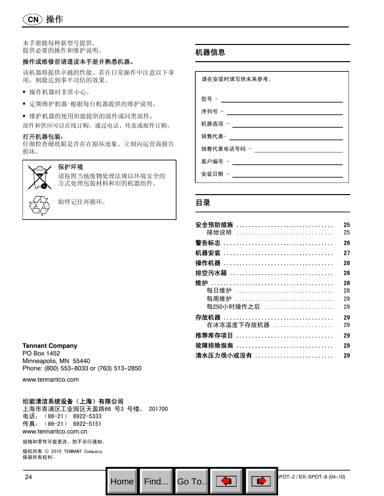**CN** 操作

#### 本手册随每种新型号提供。 提供必要的操作和维护说明。

#### 操作或维修前请通读本手册并熟悉机器。

该机器将提供卓越的性能。若在日常操作中注意以下事 项,则能达到事半功倍的效果。

- S 操作机器时非常小心。
- 定期维护机器-根据每台机器提供的维护说明。
- S 维护机器的使用坦能提供的部件或同类部件。 部件和供应可以在线订购,通过电话、传真或邮件订购。

#### 打开机器包装:

仔细检查硬纸箱是否存在损坏迹象。立刻向运营商报告 损坏。



保护环境

请按照当地废物处理法规以环境安全的 方式处理包装材料和旧的机器组件。



始终记住再循环。

#### **Tennant Company**

PO Box 1452 Minneapolis, MN 55440 Phone: (800) 553-8033 or (763) 513-2850

www.tennantco.com

#### 坦能清洁系统设备(上海)有限公司

上海市青浦区工业园区天盈路66 号3 号楼, 201700 电话:(86-21) 6922-5333 传真:(86-21) 6922-5151 www.tennantco.com.cn

规格和零件可能更改,恕不另行通知。

版权所有 © 2010 TENNANT Company. 保留所有权利。

## 机器信息

请在安装时填写供未来参考。 型号 - 序列号 - 机器选项 - 销售代表-销售代表电话号码 -  $\frac{1}{2}$ 客户编号 - \_\_\_\_\_\_\_\_\_\_\_\_\_\_\_\_\_\_\_ 安装日期 -

## 目录

Go To.. $\parallel$ 

| 安全预防措施 …………………………………<br>接地说明 | 25<br>25 |
|------------------------------|----------|
|                              | 26       |
|                              | 27       |
| 操作机器 …………………………………………        | 28       |
| 排空污水箱                        | 28       |
|                              | 28       |
| 每日维护 …………………………………<br>每周维护   | 28       |
| 每250小时操作之后                   | 29<br>29 |
| 在冰冻温度下存放机器 ……………………          | 29<br>29 |
| <b>推荐库存项目</b>                | 29       |
| 故障排除指南                       | 29       |
|                              | 29       |

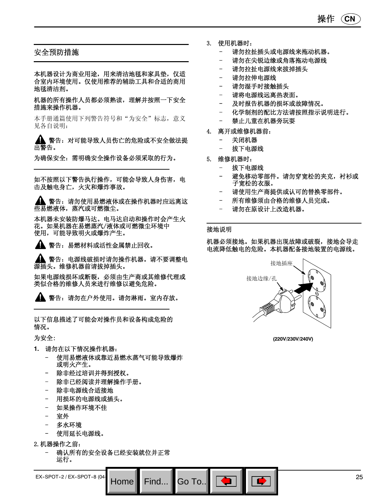

- 3. 使用机器时:
	- 请勿拉扯插头或电源线来拖动机器。
	- 请勿在尖锐边缘或角落拖动电源线
	- 请勿拉扯电源线来拔掉插头
	- 请勿拉伸电源线
	- 请勿湿手时接触插头
	- 请将电源线远离热表面。
	- 及时报告机器的损坏或故障情况。
	- 化学制剂的配比方法请按照指示说明进行。
	- 禁止儿童在机器旁玩耍
- 4. 离开或维修机器前:
	- 关闭机器
	- 拔下电源线
- 5. 维修机器时:
	- 拔下电源线
	- 避免移动零部件。请勿穿宽松的夹克,衬衫或 子宽松的衣服。
	- 请使用生产商提供或认可的替换零部件。
	- 所有维修须由合格的维修人员完成。
	- 请勿在原设计上改造机器。

#### 接地说明

Go To.

机器必须接地。如果机器出现故障或破裂,接地会导走 电流降低触电的危险。本机器配备接地装置的电源线。



**(220V/230V/240V)**

## 安全预防措施

本机器设计为商业用途,用来清洁地毯和家具垫,仅适 合室内环境使用。仅使用推荐的辅助工具和合适的商用 地毯清洁剂。

机器的所有操作人员都必须熟读,理解并按照一下安全 措施来操作机器。

本手册通篇使用下列警告符号和"为安全"标志,意义 见各自说明:

警告:对可能导致人员伤亡的危险或不安全做法提 出警告。

为确保安全:需明确安全操作设备必须采取的行为。

如不按照以下警告执行操作,可能会导致人身伤害,电 击及触电身亡,火灾和爆炸事故。

▲ 警告: 请勿使用易燃液体或在操作机器时应远离这 些易燃液体,蒸汽或可燃微尘。

本机器未安装防爆马达。电马达启动和操作时会产生火 花。如果机器在易燃蒸汽/液体或可燃微尘环境中 使用,可能导致明火或爆炸产生。

警告:易燃材料或活性金属禁止回收。

警告:电源线破损时请勿操作机器。请不要调整电 源插头。维修机器前请拔掉插头。

如果电源线损坏或断裂,必须由生产商或其维修代理或 类似合格的维修人员来进行维修以避免危险。

警告:请勿在户外使用。请勿淋雨。室内存放。

以下信息描述了可能会对操作员和设备构成危险的 情况。

为安全:

- **1.** 请勿在以下情况操作机器:
	- 使用易燃液体或靠近易燃水蒸气可能导致爆炸 或明火产生。
	- 除非经过培训并得到授权。
	- 除非已经阅读并理解操作手册。
	- 除非电源线合适接地
	- 用损坏的电源线或插头。
	- 如果操作环境不佳
	- 室外
	- 多水环境
	- 使用延长电源线。
- 2.机器操作之前:
	- 确认所有的安全设备已经安装就位并正常 运行。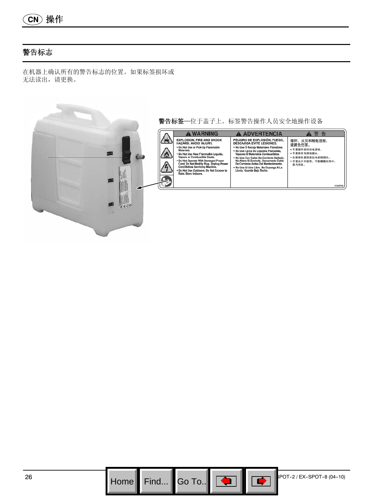$$
\textcolor{blue}{\text{(CN)}}\textcolor{blue}{\{ \text{m} } \# \textit{ft}}
$$

## 警告标志

在机器上确认所有的警告标志的位置。如果标签损坏或 无法读出,请更换。



Go To.. $\|$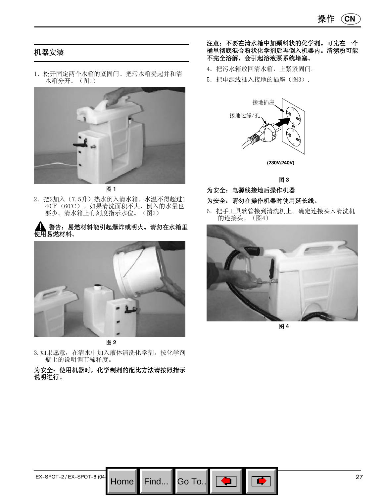## 机器安装

1.松开固定两个水箱的紧固闩。把污水箱提起并和清 水箱分开。(图1)



图 **1**

- 2. 把2加入(7.5升)热水倒入清水箱。水温不得超过1 40°F (60℃)。如果清洗面积不大, 倒入的水量也 要少。清水箱上有刻度指示水位。(图2)
- 警告:易燃材料能引起爆炸或明火。请勿在水箱里 使用易燃材料。



图 **2**

3.如果愿意,在清水中加入液体清洗化学剂。按化学剂 瓶上的说明调节稀释度。

#### 为安全:使用机器时,化学制剂的配比方法请按照指示 说明进行。

Go To..

#### 注意:不要在清水箱中加颗料状的化学剂。可先在一个 桶里彻底混合粉状化学剂后再倒入机器内。清潔粉可能 不完全溶解,会引起溶液泵系统堵塞。

- 4.把污水箱放回清水箱,上紧紧固闩。
- 5.把电源线插入接地的插座(图3).



图 **3**

为安全:电源线接地后操作机器

#### 为安全: 请勿在操作机器时使用延长线。

6.把手工具软管接到清洗机上。确定连接头入清洗机 的连接头。(图4)



图 **4**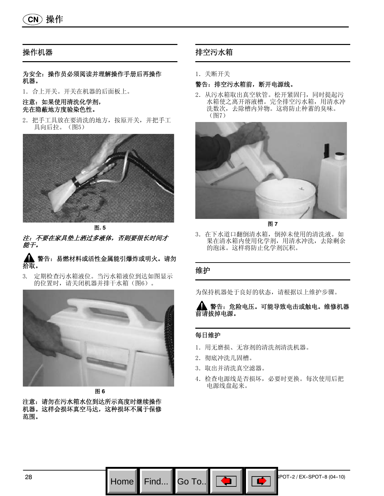## 操作机器

#### 为安全:操作员必须阅读并理解操作手册后再操作 机器。

1.合上开关。开关在机器的后面板上。

#### 注意:如果使用清洗化学剂, 先在隐蔽地方度验染色性。

2.把手工具放在要清洗的地方,按原开关,并把手工 具向后拉。(图5)



图**. 5** 注:不要在家具垫上洒过多液体,否则要很长时间才 能干。

#### 警告:易燃材料或活性金属能引爆炸或明火。请勿 拾取。

3. 定期检查污水箱液位。当污水箱液位到达如图显示 的位置时,请关闭机器并排干水箱(图6)。



图 **6**

注意:请勿在污水箱水位到达所示高度时继续操作 机器。这样会损坏真空马达,这种损坏不属于保修 范围。

## 排空污水箱

1.关断开关

#### 警告:排空污水箱前,断开电源线。

2.从污水箱取出真空软管。松开紧固闩,同时提起污 水箱使之离开溶液槽。完全排空污水箱,用清水冲 洗数次,去除槽内异物。这将防止种蓄的臭味。 (图7)



图 **7**

3.在下水道口翻倒清水箱,倒掉未使用的清洗液。如 果在清水箱内使用化学剂,用清水冲洗,去除剩余 的泡沫。这样将防止化学剂沉积。

#### 维护

为保持机器处于良好的状态,请根据以上维护步骤。



#### 每日维护

Go To.

- 1.用无磨损、无容剂的清洗剂清洗机器。
- 2.彻底冲洗几固槽。
- 3.取出并清洗真空滤器。
- 4.检查电源线是否损坏,必要时更换。每次使用后把 电源线盘起来。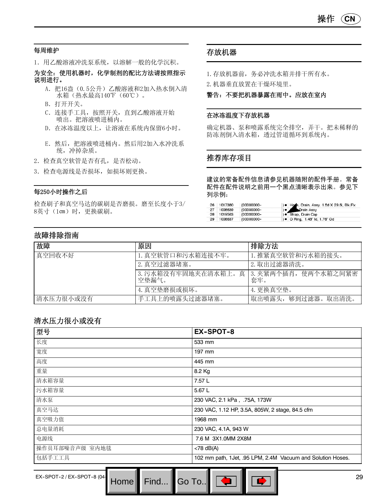#### 每周维护

1.用乙酸溶液冲洗泵系统,以溶解一般的化学沉积。

为安全:使用机器时,化学制剂的配比方法请按照指示 说明进行。

- A. 把16盎(0.5公升)乙酸溶液和2加入热水倒入清 水箱(热水最高140°F (60℃)。
- B.打开开关。
- C.连接手工具,按照开关,直到乙酸溶液开始 喷出。把溶液喷进桶内。
- D.在冰冻温度以上,让溶液在系统内保留6小时。
- E.然后,把溶液喷进桶内。然后用2加入水冲洗系 统,冲掉杂质。
- 2.检查真空软管是否有孔,是否松动。
- 3.检查电源线是否损坏,如损坏则更换。

#### 每250小时操作之后

检查刷子和真空马达的碳刷是否磨损。磨至长度小于3/ 8英寸(1㎝)时,更换碳刷。

#### 存放机器

- 1.存放机器前,务必冲洗水箱并排干所有水。
- 2.机器垂直放置在干燥环境里。

#### 警告:不要把机器暴露在雨中。应放在室内

#### 在冰冻温度下存放机器

确定机器、泵和喷露系统完全排空,弄干。把未稀释的 防冻剂倒入清水箱,透过管道循环到系统内。

#### 推荐库存项目

建议的常备配件信息请参见机器随附的配件手册。常备 配件在配件说明之前用一个黑点清晰表示出来。参见下 列示例:

| 26 | 1017380 | (00000000- | ) . Hose, Drain, Assy, 1.5d X 29.5l, Blk, Flx |  |
|----|---------|------------|-----------------------------------------------|--|
| 27 | 1008639 | (00000000- | Drain Assy                                    |  |
| 28 | 1019563 | (00000000- | ) · Strap, Drain Cap                          |  |
| 29 | 1008637 | (00000000- | ) • O Ring, 1.48" ld, 1.76" Od                |  |

## 故障排除指南

| 故障        | 原因                          | 排除方法                           |
|-----------|-----------------------------|--------------------------------|
| 真空回收不好    | 1. 真空软管口和污水箱连接不牢。           | 1. 推紧真空软管和污水箱的接头。              |
|           | 2. 真空过滤器堵塞。                 | 2. 取出过滤器清洗。                    |
|           | 3. 污水箱没有牢固地夹在清水箱上。<br>空垫漏气。 | 真   3. 夹紧两个插肖,使两个水箱之间紧密<br>套牢。 |
|           | 4. 真空垫磨损或损坏。                | 4. 更换真空垫。                      |
| 清水压力很小或没有 | 手工具上的喷露头过滤器堵塞。              | 取出喷露头,够到过滤器。取出清洗。              |

## 清水压力很小或没有

| 型号             | <b>EX-SPOT-8</b>                                            |
|----------------|-------------------------------------------------------------|
| 长度             | 533 mm                                                      |
| 宽度             | 197 mm                                                      |
| 高度             | 445 mm                                                      |
| 重量             | 8.2 Kg                                                      |
| 清水箱容量          | 7.57 L                                                      |
| 污水箱容量          | 5.67 L                                                      |
| 清水泵            | 230 VAC, 2.1 kPa, .75A, 173W                                |
| 真空马达           | 230 VAC, 1.12 HP, 3.5A, 805W, 2 stage, 84.5 cfm             |
| 真空吸力值          | 1968 mm                                                     |
| 总电量消耗          | 230 VAC, 4.1A, 943 W                                        |
| 电源线            | 7.6 M 3X1.0MM 2X8M                                          |
| 操作员耳部噪音声级 室内地毯 | $<$ 78 dB(A)                                                |
| 包括手工工具         | 102 mm path, 1Jet, .95 LPM, 2.4M Vacuum and Solution Hoses. |

Go To..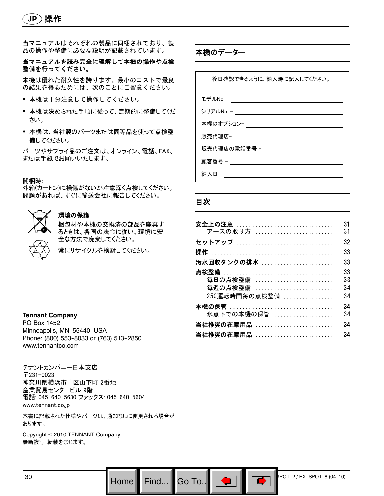当マニュアルはそれぞれの製品に同梱されており、製 品の操作や整備に必要な説明が記載されています。

#### 当マニュアルを読み完全に理解して本機の操作や点検 整備を行ってください。

本機は優れた耐久性を誇ります。最小のコストで最良 の結果を得るためには、次のことにご留意ください。

- S 本機は十分注意して操作してください。
- 本機は決められた手順に従って、定期的に整備してくだ さい。
- 本機は、当社製のパーツまたは同等品を使って点検整 備してください。

パーツやサプライ品のご注文は、オンライン、電話、FAX、 または手紙でお願いいたします。

#### 開梱時:

外箱(カートン)に損傷がないか注意深く点検してください。 問題があれば、すぐに輸送会社に報告してください。



#### 環境の保護

梱包材や本機の交換済の部品を廃棄す るときは、各国の法令に従い、環境に安 全な方法で廃棄してください。

常にリサイクルを検討してください。

#### **Tennant Company**

PO Box 1452 Minneapolis, MN 55440 USA Phone: (800) 553-8033 or (763) 513-2850 www.tennantco.com

テナントカンパニー日本支店 〒231-0023 神奈川県横浜市中区山下町 2番地 産業貿易センタービル 9階 電話: 045-640-5630 ファックス: 045-640-5604 www.tennant.co.jp

本書に記載された仕様やパーツは、通知なしに変更される場合が あります。

Copyright © 2010 TENNANT Company. 無断複写・転載を禁じます。

本機のデーター

後日確認できるように、納入時に記入してください。 モデルNo. - シリアルNo. - 本機のオプション-販売代理店-販売代理店の電話番号 - 顧客番号 - \_\_\_\_\_\_\_\_\_\_\_\_\_\_\_\_\_\_ 納入日 - カランド かんしょう

#### 目次

Go To.. $\blacksquare$ 

| <b>安全上の注意</b><br>アースの取り方 | 31<br>31 |
|--------------------------|----------|
| セットアップ                   | 32       |
|                          | 33       |
|                          | 33       |
|                          | 33       |
| 毎日の点検整備                  | 33       |
| 毎週の点検整備                  | 34       |
| 250運転時間毎の点検整備            | 34       |
| 本機の保管                    | 34       |
| 氷点下での本機の保管               | 34       |
| <b>当社推奨の在庫用品 </b>        | 34       |
| 当社推奨の在庫用品                | 34       |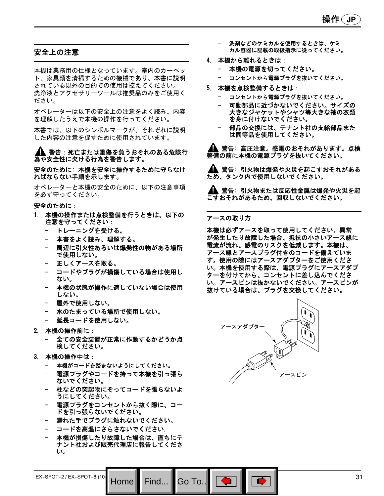## 安全上の注意

本機は業務用の仕様となっています。室内のカーペッ ト、家具類を清掃するための機械であり、本書に説明 されている以外の目的での使用は控えてください。 洗浄液とアクセサリーツールは推奨品のみをご使用く ださい。

オペレーターは以下の安全上の注意をよく読み、内容 を理解したうえで本機の操作を行ってください。

本書では、以下のシンボルマークが、それぞれに説明 した内容の注意を促すために使用されています。

#### ▲▲ 警告 : 死亡または重傷を負うおそれのある危険行 為や安全性に欠ける行為を警告します。

安全のために: 本機を安全に操作するために守らなけ ればならない手順を示します。

オペレーターと本機の安全のために、以下の注意事項 を必ず守ってください。

#### 安全のために:

- 1. 本機の操作または点検整備を行うときは、以下の 注意を守ってください:
	- トレーニングを受ける。
	- 本書をよく読み、理解する。
	- 周辺に引火性あるいは爆発性の物がある場所 で使用しない。
	- 正しくアースを取る。
	- コードやプラグが損傷している場合は使用し ない。
	- 本機の状態が操作に適していない場合は使用 しない。
	- 屋外で使用しない。
	- 水のたまっている場所で使用しない。
	- 延長コードを使用しない。
- 2. 本機の操作前に:
	- 全ての安全装置が正常に作動するかどうか点 検してください。
- 3. 本機の操作中は:
	- 本機がコードを踏まないようにしてください。
	- 電源プラグやコードを持って本機を引っ張ら ないでください。
	- 柱などの突起物にそってコードを張らないよ うにしてください。
	- 電源プラグをコンセントから抜く際に、コー ドを引っ張らないでください。
	- 濡れた手でプラグに触れないでください。
	- コードを高温にさらさないでください.
	- 本機が損傷したり故障した場合は、直ちにテ ナント社および販売代理店に報告してくださ い。
- 洗剤などのケミカルを使用するときは、ケミ カル容器に記載の取扱指示に従ってください。
- 4. 本機から離れるときは:
	- 本機の電源を切ってください。
	- コンセントから電源プラグを抜いてください。
- 5. 本機を点検整備するときは:
	- コンセントから電源プラグを抜いてください。
	- 可動部品に近づかないでください。サイズの 大きなジャケットやシャツ等大きな袖の衣類 を身に付けないでください。
	- 部品の交換には、テナント社の支給部品また は同等品を使用してください。

警告: 高圧注意。感電のおそれがあります。点検 整備の前に本機の電源プラグを抜いてください。

▲▲ 警告: 引火物は爆発や火災を起こすおそれがある ため、タンク内で使用しないでください。

▲▲ 警告: 引火物または反応性金属は爆発や火災を起 こすおそれがあるため、回収しないでください。

#### アースの取り方

本機は必ずアースを取って使用してください。異常 が発生したり故障した場合、抵抗の小さいアース線に 電流が流れ、感電のリスクを低減します。本機は、 アース線とアースプラグ付きのコードを備えていま す。使用の際にはアースアダプターをご使用くださ い。本機を使用する際は、電源プラグにアースアダプ ターを付けてから、コンセントに差し込んでくださ い。アースピンは抜かないでください。アースピンが 抜けている場合は、プラグを交換してください。



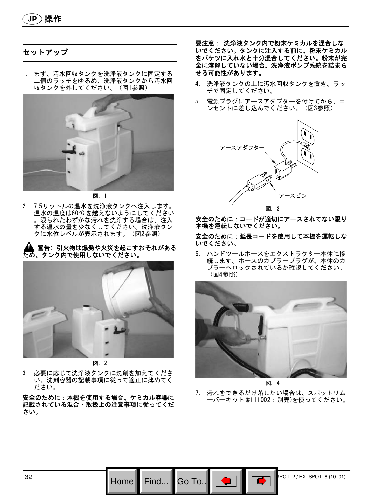**JP** 操作

## セットアップ

1. まず、汚水回収タンクを洗浄液タンクに固定する 二個のラッチをゆるめ、洗浄液タンクから汚水回 収タンクを外してください。(図1参照)



図. 1

2. 7.5リットルの温水を洗浄液タンクへ注入します。 温水の温度は60°C を越えないようにしてください 。限られたわずかな汚れを洗浄する場合は、注入 する温水の量を少なくしてください。洗浄液タン クに水位レベルが表示されます。(図2参照)

#### 警告: 引火物は爆発や火災を起こすおそれがある ため、タンク内で使用しないでください。



図. 2

3. 必要に応じて洗浄液タンクに洗剤を加えてくださ い。洗剤容器の記載事項に従って適正に薄めてく ださい。

安全のために:本機を使用する場合、ケミカル容器に 記載されている混合・取扱上の注意事項に従ってくだ さい。

要注意: 洗浄液タンク内で粉末ケミカルを混合しな いでください。タンクに注入する前に、粉末ケミカル をバケツに入れ水と十分混合してください。粉末が完 全に溶解していない場合、洗浄液ポンプ系統を詰まら せる可能性があります。

- 4. 洗浄液タンクの上に汚水回収タンクを置き、ラッ チで固定してください。
- 5. 電源プラグにアースアダプターを付けてから、コ ンセントに差し込んでください。(図3参照)



安全のために:コードが適切にアースされてない限り 本機を運転しないでください。

安全のために:延長コードを使用して本機を運転しな いでください。

6. ハンドツールホースをエクストラクター本体に接 続します。ホースのカプラープラグが、本体のカ プラーへロックされているか確認してください。 (図4参照)



図. 4

7. 汚れをできるだけ落したい場合は、スポットリム ーバーキット(#111002:別売)を使ってください。

Go To.

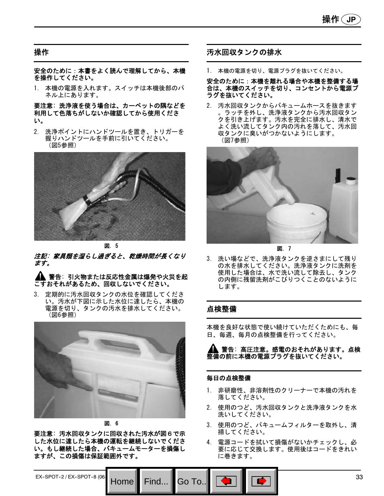## 操作

安全のために:本書をよく読んで理解してから、本機 を操作してください。

1. 本機の電源を入れます。スイッチは本機後部のパ ネル上にあります。

要注意: 洗浄液を使う場合は、カーペットの隅などを 利用して色落ちがしないか確認してから使用くださ い。

2. 洗浄ポイントにハンドツールを置き、トリガーを 握りハンドツールを手前に引いてください。 (図5参照)



図. 5

注記: 家具類を湿らし過ぎると、乾燥時間が長くなり ます。

#### ▲ 警告: 引火物または反応性金属は爆発や火災を起 こすおそれがあるため、回収しないでください。

3. 定期的に汚水回収タンクの水位を確認してくださ い。汚水が下図に示した水位に達したら、本機の 電源を切り、タンクの汚水を排水してください。 (図6参照)



図. 6

要注意: 汚水回収タンクに回収された汚水が図6で示 した水位に達したら本機の運転を継続しないでくださ い。もし継続した場合、バキュームモーターを損傷し ますが、この損傷は保証範囲外です。

## 汚水回収タンクの排水

1. 本機の電源を切り、電源プラグを抜いてください。

安全のために:本機を離れる場合や本機を整備する場 合は、本機のスイッチを切り、コンセントから電源プ ラグを抜いてください。

汚水回収タンクからバキュームホースを抜きます 。ラッチを外し、洗浄液タンクから汚水回収タン クを引き上げます。汚水を完全に排水し、清水で よく洗い流してタンク内の汚れを落して、汚水回 収タンクに臭いがつかないようにします。 (図7参照)



図. 7

3. 洗い場などで、洗浄液タンクを逆さまにして残り の水を排水してください。洗浄液タンクに洗剤を 使用した場合は、水で洗い流して除去し、タンク の内側に残留洗剤がこびりつくことのないように します。

## 点検整備

本機を良好な状態で使い続けていただくためにも、毎 日、毎週、毎月の点検整備を行ってください。

警告: 高圧注意。感電のおそれがあります。点検 整備の前に本機の電源プラグを抜いてください。

#### 毎日の点検整備

- 1. 非研磨性、非溶剤性のクリーナーで本機の汚れを 落してください。
- 2. 使用のつど、汚水回収タンクと洗浄液タンクを水 洗いしてください。
- 3. 使用のつど、バキュームフィルターを取外し、清 掃してください。
- 4. 電源コードを拭いて損傷がないかチェックし、必 要に応じて交換します。使用後はコードをきれい に巻きます。